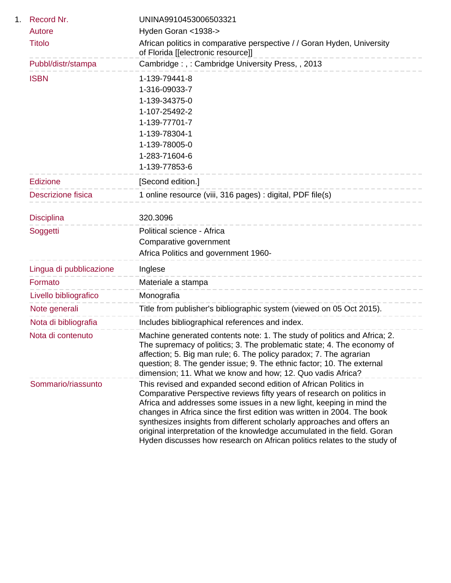| 1. | Record Nr.                | UNINA9910453006503321                                                                                                                                                                                                                                                                                                                                                                                                                                                                                                          |
|----|---------------------------|--------------------------------------------------------------------------------------------------------------------------------------------------------------------------------------------------------------------------------------------------------------------------------------------------------------------------------------------------------------------------------------------------------------------------------------------------------------------------------------------------------------------------------|
|    | Autore                    | Hyden Goran <1938->                                                                                                                                                                                                                                                                                                                                                                                                                                                                                                            |
|    | <b>Titolo</b>             | African politics in comparative perspective / / Goran Hyden, University<br>of Florida [[electronic resource]]                                                                                                                                                                                                                                                                                                                                                                                                                  |
|    | Pubbl/distr/stampa        | Cambridge:,: Cambridge University Press,, 2013                                                                                                                                                                                                                                                                                                                                                                                                                                                                                 |
|    | <b>ISBN</b>               | 1-139-79441-8                                                                                                                                                                                                                                                                                                                                                                                                                                                                                                                  |
|    |                           | 1-316-09033-7                                                                                                                                                                                                                                                                                                                                                                                                                                                                                                                  |
|    |                           | 1-139-34375-0                                                                                                                                                                                                                                                                                                                                                                                                                                                                                                                  |
|    |                           | 1-107-25492-2                                                                                                                                                                                                                                                                                                                                                                                                                                                                                                                  |
|    |                           | 1-139-77701-7                                                                                                                                                                                                                                                                                                                                                                                                                                                                                                                  |
|    |                           | 1-139-78304-1                                                                                                                                                                                                                                                                                                                                                                                                                                                                                                                  |
|    |                           | 1-139-78005-0                                                                                                                                                                                                                                                                                                                                                                                                                                                                                                                  |
|    |                           | 1-283-71604-6                                                                                                                                                                                                                                                                                                                                                                                                                                                                                                                  |
|    |                           | 1-139-77853-6                                                                                                                                                                                                                                                                                                                                                                                                                                                                                                                  |
|    | <b>Edizione</b>           | [Second edition.]                                                                                                                                                                                                                                                                                                                                                                                                                                                                                                              |
|    | <b>Descrizione fisica</b> | 1 online resource (viii, 316 pages) : digital, PDF file(s)                                                                                                                                                                                                                                                                                                                                                                                                                                                                     |
|    |                           |                                                                                                                                                                                                                                                                                                                                                                                                                                                                                                                                |
|    | <b>Disciplina</b>         | 320.3096                                                                                                                                                                                                                                                                                                                                                                                                                                                                                                                       |
|    | Soggetti                  | Political science - Africa                                                                                                                                                                                                                                                                                                                                                                                                                                                                                                     |
|    |                           | Comparative government                                                                                                                                                                                                                                                                                                                                                                                                                                                                                                         |
|    |                           | Africa Politics and government 1960-                                                                                                                                                                                                                                                                                                                                                                                                                                                                                           |
|    | Lingua di pubblicazione   | Inglese                                                                                                                                                                                                                                                                                                                                                                                                                                                                                                                        |
|    | Formato                   | Materiale a stampa<br>------------------------                                                                                                                                                                                                                                                                                                                                                                                                                                                                                 |
|    | Livello bibliografico     | Monografia                                                                                                                                                                                                                                                                                                                                                                                                                                                                                                                     |
|    | Note generali             | Title from publisher's bibliographic system (viewed on 05 Oct 2015).                                                                                                                                                                                                                                                                                                                                                                                                                                                           |
|    | Nota di bibliografia      | Includes bibliographical references and index.                                                                                                                                                                                                                                                                                                                                                                                                                                                                                 |
|    | Nota di contenuto         | Machine generated contents note: 1. The study of politics and Africa; 2.<br>The supremacy of politics; 3. The problematic state; 4. The economy of<br>affection; 5. Big man rule; 6. The policy paradox; 7. The agrarian<br>question; 8. The gender issue; 9. The ethnic factor; 10. The external<br>dimension; 11. What we know and how; 12. Quo vadis Africa?                                                                                                                                                                |
|    | Sommario/riassunto        | This revised and expanded second edition of African Politics in<br>Comparative Perspective reviews fifty years of research on politics in<br>Africa and addresses some issues in a new light, keeping in mind the<br>changes in Africa since the first edition was written in 2004. The book<br>synthesizes insights from different scholarly approaches and offers an<br>original interpretation of the knowledge accumulated in the field. Goran<br>Hyden discusses how research on African politics relates to the study of |